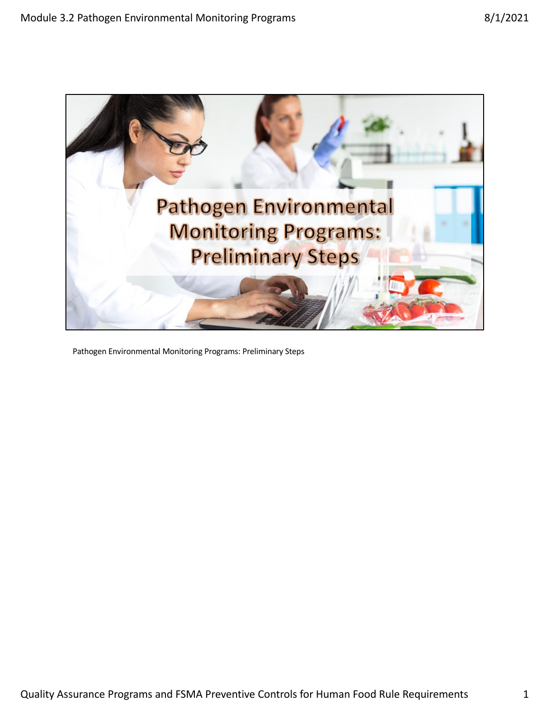

Pathogen Environmental Monitoring Programs: Preliminary Steps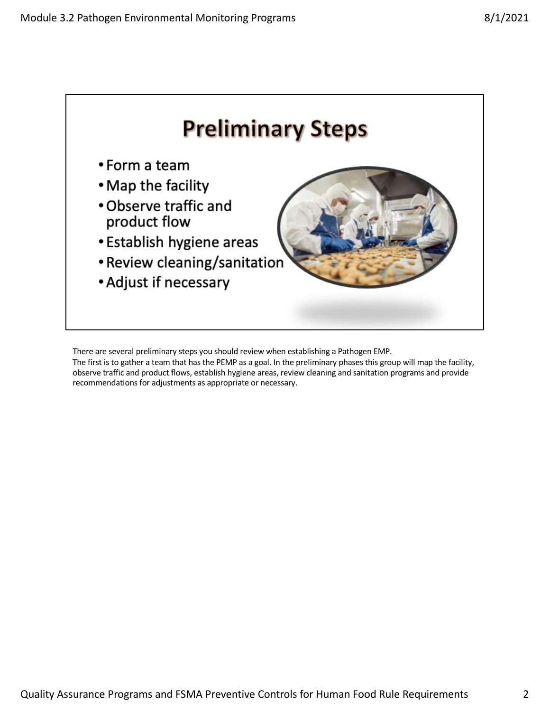

There are several preliminary steps you should review when establishing a Pathogen EMP.

The first is to gather a team that has the PEMP as a goal. In the preliminary phases this group will map the facility, observe traffic and product flows, establish hygiene areas, review cleaning and sanitation programs and provide recommendations for adjustments as appropriate or necessary.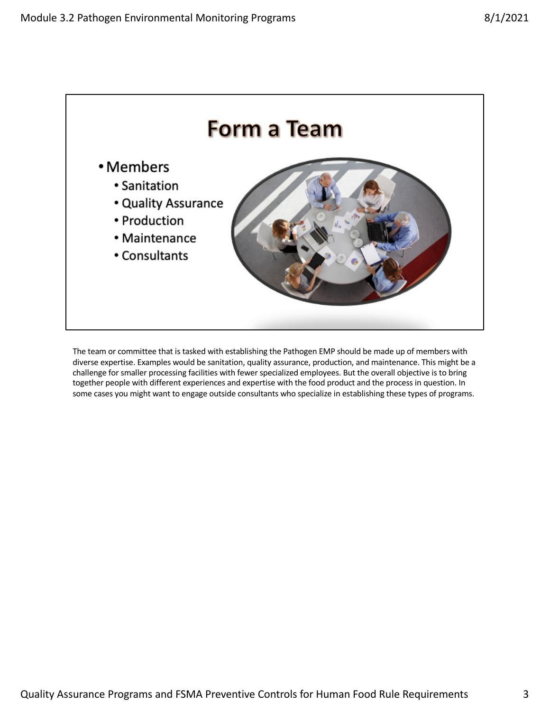

The team or committee that is tasked with establishing the Pathogen EMP should be made up of members with diverse expertise. Examples would be sanitation, quality assurance, production, and maintenance. This might be a challenge for smaller processing facilities with fewer specialized employees. But the overall objective is to bring together people with different experiences and expertise with the food product and the process in question. In some cases you might want to engage outside consultants who specialize in establishing these types of programs.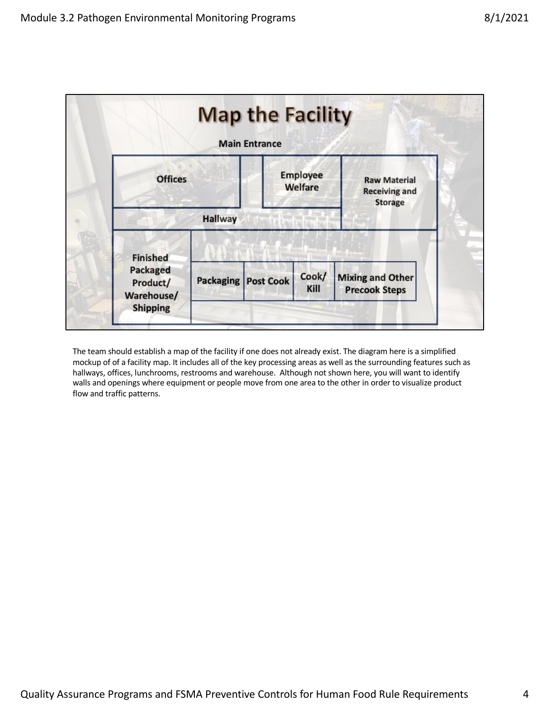

The team should establish a map of the facility if one does not already exist. The diagram here is a simplified mockup of of a facility map. It includes all of the key processing areas as well as the surrounding features such as hallways, offices, lunchrooms, restrooms and warehouse. Although not shown here, you will want to identify walls and openings where equipment or people move from one area to the other in order to visualize product flow and traffic patterns.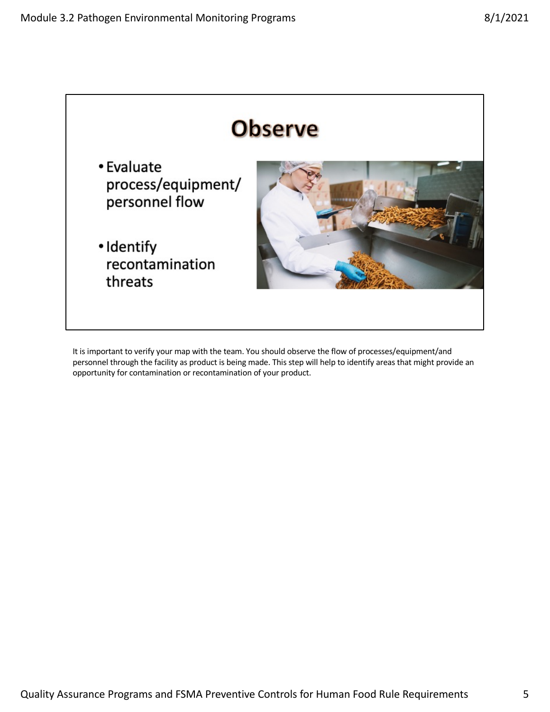

It is important to verify your map with the team. You should observe the flow of processes/equipment/and personnel through the facility as product is being made. This step will help to identify areas that might provide an opportunity for contamination or recontamination of your product.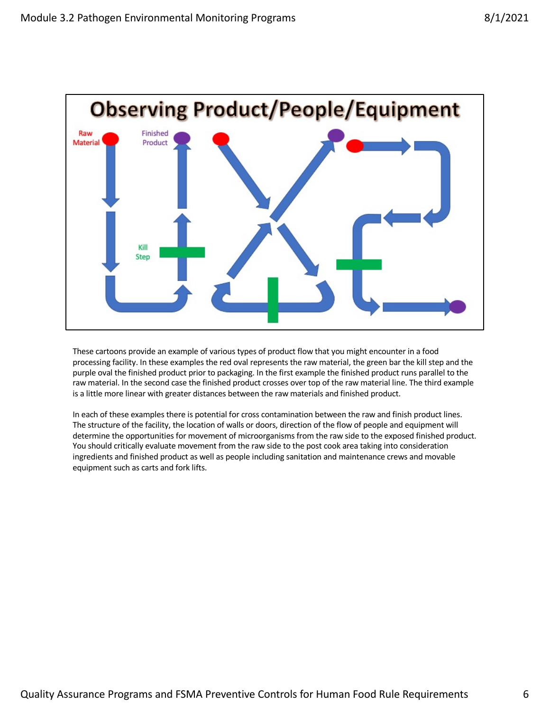

These cartoons provide an example of various types of product flow that you might encounter in a food processing facility. In these examples the red oval represents the raw material, the green bar the kill step and the purple oval the finished product prior to packaging. In the first example the finished product runs parallel to the raw material. In the second case the finished product crosses over top of the raw material line. The third example is a little more linear with greater distances between the raw materials and finished product.

In each of these examples there is potential for cross contamination between the raw and finish product lines. The structure of the facility, the location of walls or doors, direction of the flow of people and equipment will determine the opportunities for movement of microorganisms from the raw side to the exposed finished product. You should critically evaluate movement from the raw side to the post cook area taking into consideration ingredients and finished product as well as people including sanitation and maintenance crews and movable equipment such as carts and fork lifts.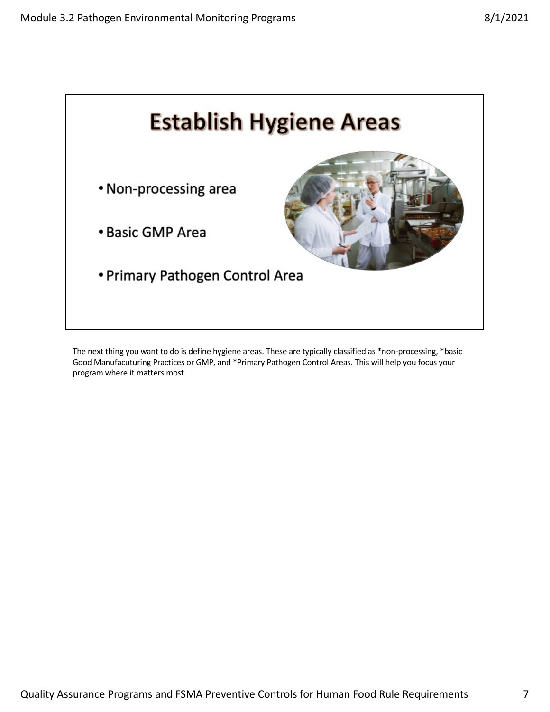

The next thing you want to do is define hygiene areas. These are typically classified as \*non-processing, \*basic Good Manufacuturing Practices or GMP, and \*Primary Pathogen Control Areas. This will help you focus your program where it matters most.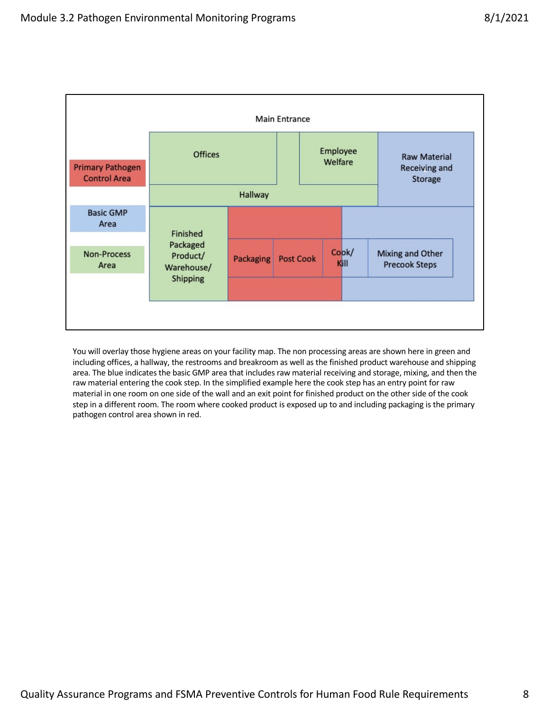

You will overlay those hygiene areas on your facility map. The non processing areas are shown here in green and including offices, a hallway, the restrooms and breakroom as well as the finished product warehouse and shipping area. The blue indicates the basic GMP area that includes raw material receiving and storage, mixing, and then the raw material entering the cook step. In the simplified example here the cook step has an entry point for raw material in one room on one side of the wall and an exit point for finished product on the other side of the cook step in a different room. The room where cooked product is exposed up to and including packaging is the primary pathogen control area shown in red.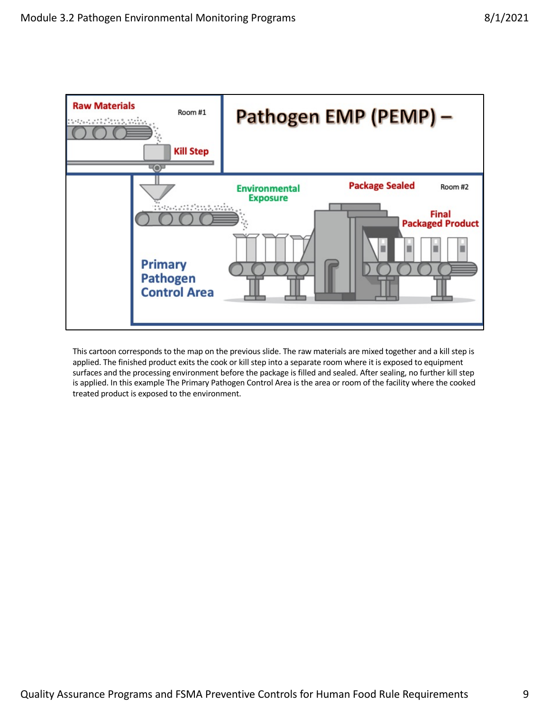

This cartoon corresponds to the map on the previous slide. The raw materials are mixed together and a kill step is applied. The finished product exits the cook or kill step into a separate room where it is exposed to equipment surfaces and the processing environment before the package is filled and sealed. After sealing, no further kill step is applied. In this example The Primary Pathogen Control Area is the area or room of the facility where the cooked treated product is exposed to the environment.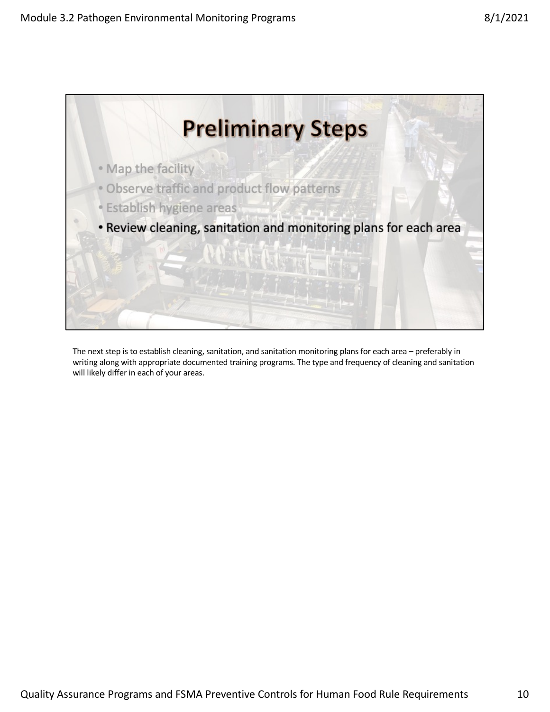

The next step is to establish cleaning, sanitation, and sanitation monitoring plans for each area – preferably in writing along with appropriate documented training programs. The type and frequency of cleaning and sanitation will likely differ in each of your areas.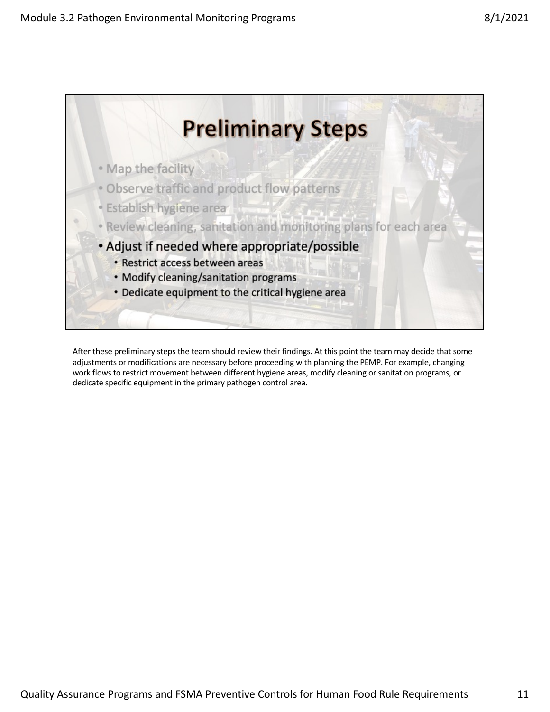

After these preliminary steps the team should review their findings. At this point the team may decide that some adjustments or modifications are necessary before proceeding with planning the PEMP. For example, changing work flows to restrict movement between different hygiene areas, modify cleaning or sanitation programs, or dedicate specific equipment in the primary pathogen control area.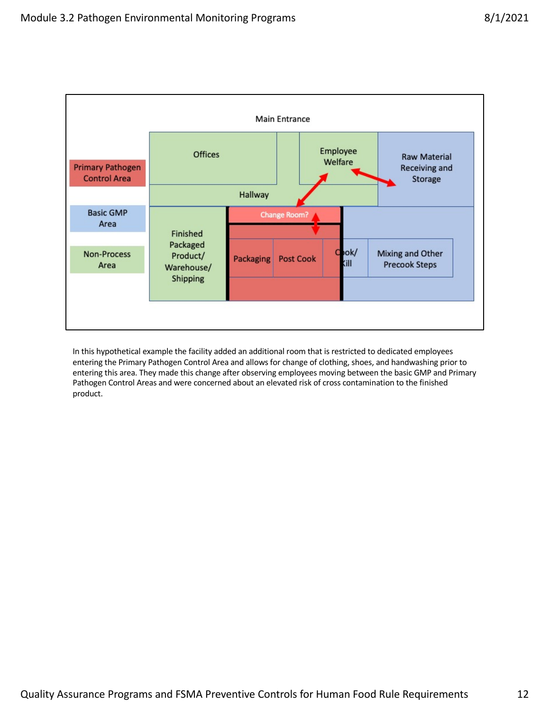

In this hypothetical example the facility added an additional room that is restricted to dedicated employees entering the Primary Pathogen Control Area and allows for change of clothing, shoes, and handwashing prior to entering this area. They made this change after observing employees moving between the basic GMP and Primary Pathogen Control Areas and were concerned about an elevated risk of cross contamination to the finished product.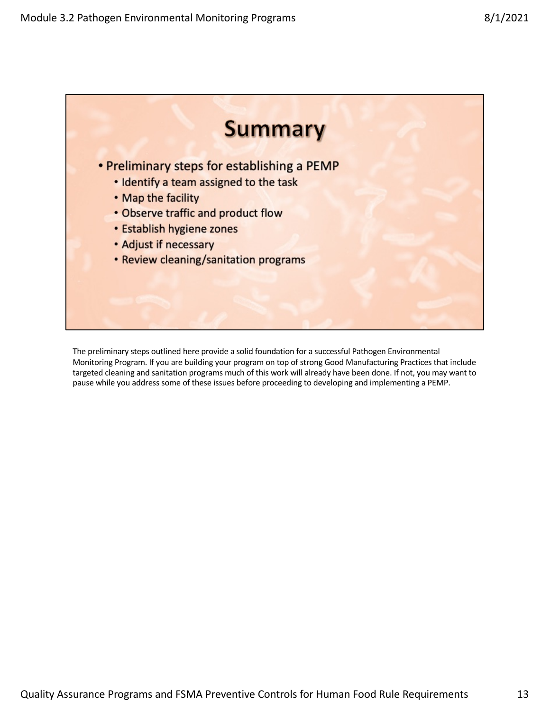

The preliminary steps outlined here provide a solid foundation for a successful Pathogen Environmental Monitoring Program. If you are building your program on top of strong Good Manufacturing Practices that include targeted cleaning and sanitation programs much of this work will already have been done. If not, you may want to pause while you address some of these issues before proceeding to developing and implementing a PEMP.